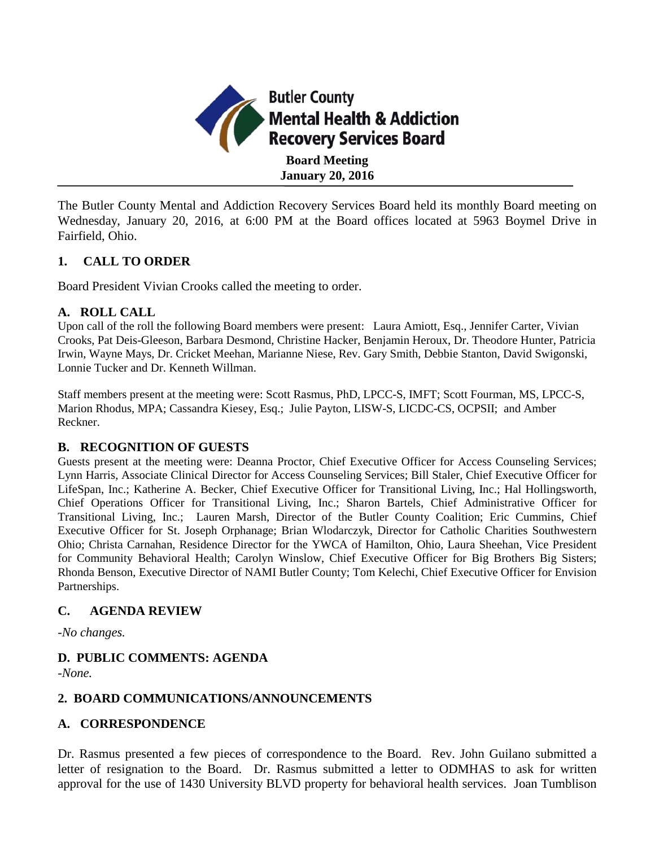

The Butler County Mental and Addiction Recovery Services Board held its monthly Board meeting on Wednesday, January 20, 2016, at 6:00 PM at the Board offices located at 5963 Boymel Drive in Fairfield, Ohio.

## **1. CALL TO ORDER**

Board President Vivian Crooks called the meeting to order.

## **A. ROLL CALL**

Upon call of the roll the following Board members were present: Laura Amiott, Esq., Jennifer Carter, Vivian Crooks, Pat Deis-Gleeson, Barbara Desmond, Christine Hacker, Benjamin Heroux, Dr. Theodore Hunter, Patricia Irwin, Wayne Mays, Dr. Cricket Meehan, Marianne Niese, Rev. Gary Smith, Debbie Stanton, David Swigonski, Lonnie Tucker and Dr. Kenneth Willman.

Staff members present at the meeting were: Scott Rasmus, PhD, LPCC-S, IMFT; Scott Fourman, MS, LPCC-S, Marion Rhodus, MPA; Cassandra Kiesey, Esq.; Julie Payton, LISW-S, LICDC-CS, OCPSII; and Amber Reckner.

## **B. RECOGNITION OF GUESTS**

Guests present at the meeting were: Deanna Proctor, Chief Executive Officer for Access Counseling Services; Lynn Harris, Associate Clinical Director for Access Counseling Services; Bill Staler, Chief Executive Officer for LifeSpan, Inc.; Katherine A. Becker, Chief Executive Officer for Transitional Living, Inc.; Hal Hollingsworth, Chief Operations Officer for Transitional Living, Inc.; Sharon Bartels, Chief Administrative Officer for Transitional Living, Inc.; Lauren Marsh, Director of the Butler County Coalition; Eric Cummins, Chief Executive Officer for St. Joseph Orphanage; Brian Wlodarczyk, Director for Catholic Charities Southwestern Ohio; Christa Carnahan, Residence Director for the YWCA of Hamilton, Ohio, Laura Sheehan, Vice President for Community Behavioral Health; Carolyn Winslow, Chief Executive Officer for Big Brothers Big Sisters; Rhonda Benson, Executive Director of NAMI Butler County; Tom Kelechi, Chief Executive Officer for Envision Partnerships.

## **C. AGENDA REVIEW**

*-No changes.*

# **D. PUBLIC COMMENTS: AGENDA**

*-None.*

## **2. BOARD COMMUNICATIONS/ANNOUNCEMENTS**

#### **A. CORRESPONDENCE**

Dr. Rasmus presented a few pieces of correspondence to the Board. Rev. John Guilano submitted a letter of resignation to the Board. Dr. Rasmus submitted a letter to ODMHAS to ask for written approval for the use of 1430 University BLVD property for behavioral health services. Joan Tumblison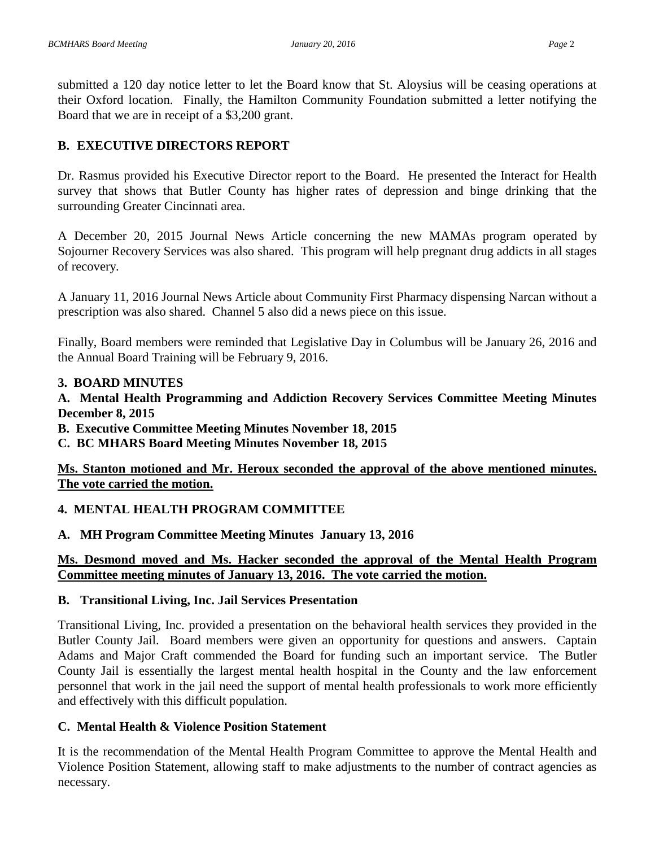submitted a 120 day notice letter to let the Board know that St. Aloysius will be ceasing operations at their Oxford location. Finally, the Hamilton Community Foundation submitted a letter notifying the Board that we are in receipt of a \$3,200 grant.

# **B. EXECUTIVE DIRECTORS REPORT**

Dr. Rasmus provided his Executive Director report to the Board. He presented the Interact for Health survey that shows that Butler County has higher rates of depression and binge drinking that the surrounding Greater Cincinnati area.

A December 20, 2015 Journal News Article concerning the new MAMAs program operated by Sojourner Recovery Services was also shared. This program will help pregnant drug addicts in all stages of recovery.

A January 11, 2016 Journal News Article about Community First Pharmacy dispensing Narcan without a prescription was also shared. Channel 5 also did a news piece on this issue.

Finally, Board members were reminded that Legislative Day in Columbus will be January 26, 2016 and the Annual Board Training will be February 9, 2016.

#### **3. BOARD MINUTES**

**A. Mental Health Programming and Addiction Recovery Services Committee Meeting Minutes December 8, 2015** 

**B. Executive Committee Meeting Minutes November 18, 2015**

**C. BC MHARS Board Meeting Minutes November 18, 2015**

**Ms. Stanton motioned and Mr. Heroux seconded the approval of the above mentioned minutes. The vote carried the motion.**

## **4. MENTAL HEALTH PROGRAM COMMITTEE**

**A. MH Program Committee Meeting Minutes January 13, 2016**

# **Ms. Desmond moved and Ms. Hacker seconded the approval of the Mental Health Program Committee meeting minutes of January 13, 2016. The vote carried the motion.**

## **B. Transitional Living, Inc. Jail Services Presentation**

Transitional Living, Inc. provided a presentation on the behavioral health services they provided in the Butler County Jail. Board members were given an opportunity for questions and answers. Captain Adams and Major Craft commended the Board for funding such an important service. The Butler County Jail is essentially the largest mental health hospital in the County and the law enforcement personnel that work in the jail need the support of mental health professionals to work more efficiently and effectively with this difficult population.

## **C. Mental Health & Violence Position Statement**

It is the recommendation of the Mental Health Program Committee to approve the Mental Health and Violence Position Statement, allowing staff to make adjustments to the number of contract agencies as necessary.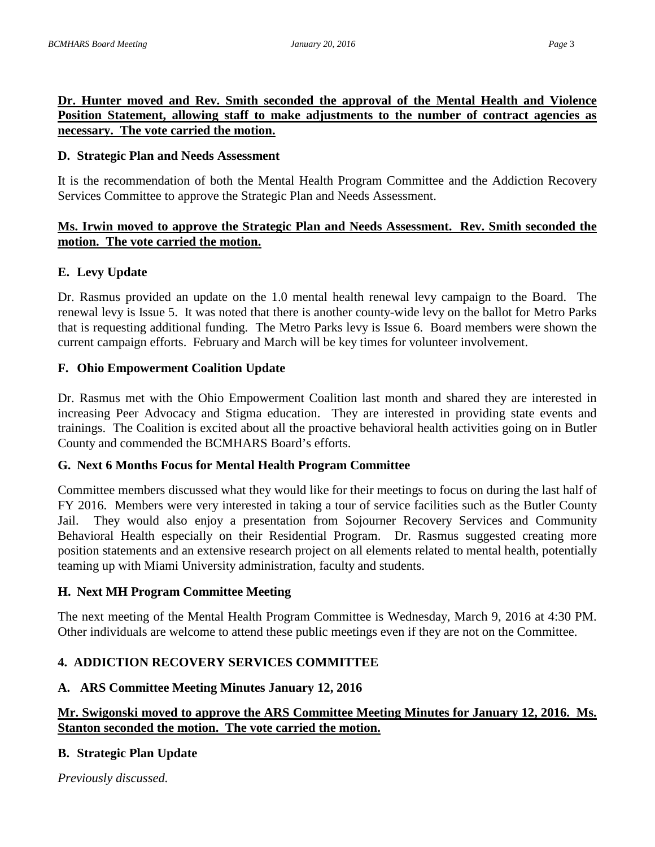## **Dr. Hunter moved and Rev. Smith seconded the approval of the Mental Health and Violence**  Position Statement, allowing staff to make adjustments to the number of contract agencies as **necessary. The vote carried the motion.**

#### **D. Strategic Plan and Needs Assessment**

It is the recommendation of both the Mental Health Program Committee and the Addiction Recovery Services Committee to approve the Strategic Plan and Needs Assessment.

## **Ms. Irwin moved to approve the Strategic Plan and Needs Assessment. Rev. Smith seconded the motion. The vote carried the motion.**

## **E. Levy Update**

Dr. Rasmus provided an update on the 1.0 mental health renewal levy campaign to the Board. The renewal levy is Issue 5. It was noted that there is another county-wide levy on the ballot for Metro Parks that is requesting additional funding. The Metro Parks levy is Issue 6. Board members were shown the current campaign efforts. February and March will be key times for volunteer involvement.

#### **F. Ohio Empowerment Coalition Update**

Dr. Rasmus met with the Ohio Empowerment Coalition last month and shared they are interested in increasing Peer Advocacy and Stigma education. They are interested in providing state events and trainings. The Coalition is excited about all the proactive behavioral health activities going on in Butler County and commended the BCMHARS Board's efforts.

#### **G. Next 6 Months Focus for Mental Health Program Committee**

Committee members discussed what they would like for their meetings to focus on during the last half of FY 2016. Members were very interested in taking a tour of service facilities such as the Butler County Jail. They would also enjoy a presentation from Sojourner Recovery Services and Community Behavioral Health especially on their Residential Program. Dr. Rasmus suggested creating more position statements and an extensive research project on all elements related to mental health, potentially teaming up with Miami University administration, faculty and students.

#### **H. Next MH Program Committee Meeting**

The next meeting of the Mental Health Program Committee is Wednesday, March 9, 2016 at 4:30 PM. Other individuals are welcome to attend these public meetings even if they are not on the Committee.

## **4. ADDICTION RECOVERY SERVICES COMMITTEE**

## **A. ARS Committee Meeting Minutes January 12, 2016**

## **Mr. Swigonski moved to approve the ARS Committee Meeting Minutes for January 12, 2016. Ms. Stanton seconded the motion. The vote carried the motion.**

## **B. Strategic Plan Update**

*Previously discussed.*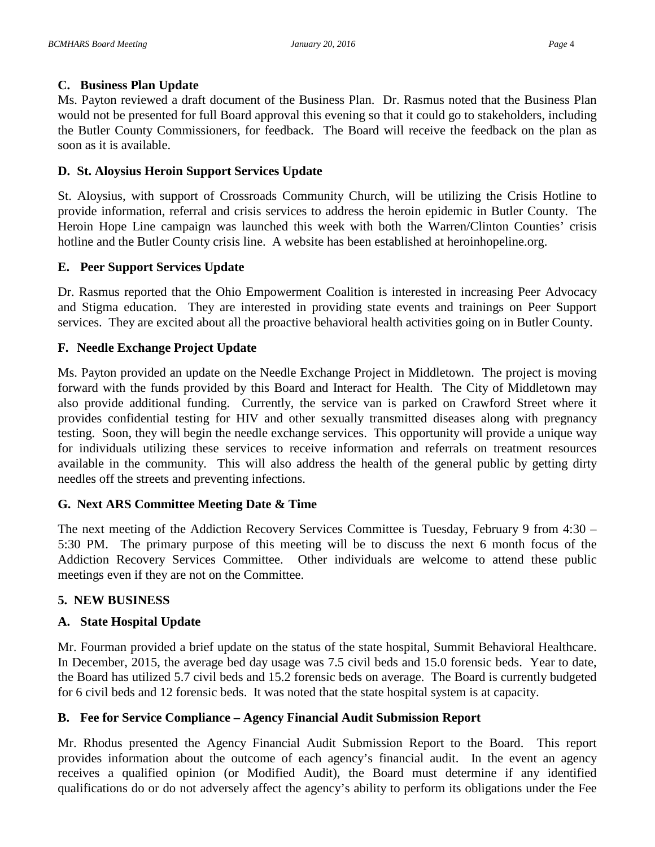#### **C. Business Plan Update**

Ms. Payton reviewed a draft document of the Business Plan. Dr. Rasmus noted that the Business Plan would not be presented for full Board approval this evening so that it could go to stakeholders, including the Butler County Commissioners, for feedback. The Board will receive the feedback on the plan as soon as it is available.

## **D. St. Aloysius Heroin Support Services Update**

St. Aloysius, with support of Crossroads Community Church, will be utilizing the Crisis Hotline to provide information, referral and crisis services to address the heroin epidemic in Butler County. The Heroin Hope Line campaign was launched this week with both the Warren/Clinton Counties' crisis hotline and the Butler County crisis line. A website has been established at heroinhopeline.org.

## **E. Peer Support Services Update**

Dr. Rasmus reported that the Ohio Empowerment Coalition is interested in increasing Peer Advocacy and Stigma education. They are interested in providing state events and trainings on Peer Support services. They are excited about all the proactive behavioral health activities going on in Butler County.

# **F. Needle Exchange Project Update**

Ms. Payton provided an update on the Needle Exchange Project in Middletown. The project is moving forward with the funds provided by this Board and Interact for Health. The City of Middletown may also provide additional funding. Currently, the service van is parked on Crawford Street where it provides confidential testing for HIV and other sexually transmitted diseases along with pregnancy testing. Soon, they will begin the needle exchange services. This opportunity will provide a unique way for individuals utilizing these services to receive information and referrals on treatment resources available in the community. This will also address the health of the general public by getting dirty needles off the streets and preventing infections.

## **G. Next ARS Committee Meeting Date & Time**

The next meeting of the Addiction Recovery Services Committee is Tuesday, February 9 from 4:30 – 5:30 PM. The primary purpose of this meeting will be to discuss the next 6 month focus of the Addiction Recovery Services Committee. Other individuals are welcome to attend these public meetings even if they are not on the Committee.

## **5. NEW BUSINESS**

## **A. State Hospital Update**

Mr. Fourman provided a brief update on the status of the state hospital, Summit Behavioral Healthcare. In December, 2015, the average bed day usage was 7.5 civil beds and 15.0 forensic beds. Year to date, the Board has utilized 5.7 civil beds and 15.2 forensic beds on average. The Board is currently budgeted for 6 civil beds and 12 forensic beds. It was noted that the state hospital system is at capacity.

## **B. Fee for Service Compliance – Agency Financial Audit Submission Report**

Mr. Rhodus presented the Agency Financial Audit Submission Report to the Board. This report provides information about the outcome of each agency's financial audit. In the event an agency receives a qualified opinion (or Modified Audit), the Board must determine if any identified qualifications do or do not adversely affect the agency's ability to perform its obligations under the Fee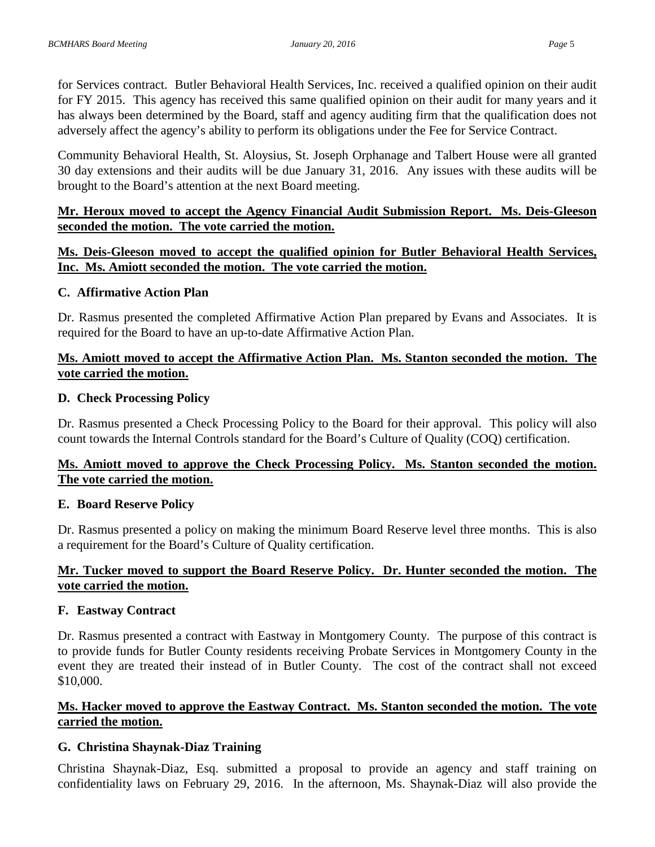for Services contract. Butler Behavioral Health Services, Inc. received a qualified opinion on their audit for FY 2015. This agency has received this same qualified opinion on their audit for many years and it has always been determined by the Board, staff and agency auditing firm that the qualification does not adversely affect the agency's ability to perform its obligations under the Fee for Service Contract.

Community Behavioral Health, St. Aloysius, St. Joseph Orphanage and Talbert House were all granted 30 day extensions and their audits will be due January 31, 2016. Any issues with these audits will be brought to the Board's attention at the next Board meeting.

## **Mr. Heroux moved to accept the Agency Financial Audit Submission Report. Ms. Deis-Gleeson seconded the motion. The vote carried the motion.**

# **Ms. Deis-Gleeson moved to accept the qualified opinion for Butler Behavioral Health Services, Inc. Ms. Amiott seconded the motion. The vote carried the motion.**

#### **C. Affirmative Action Plan**

Dr. Rasmus presented the completed Affirmative Action Plan prepared by Evans and Associates. It is required for the Board to have an up-to-date Affirmative Action Plan.

## **Ms. Amiott moved to accept the Affirmative Action Plan. Ms. Stanton seconded the motion. The vote carried the motion.**

#### **D. Check Processing Policy**

Dr. Rasmus presented a Check Processing Policy to the Board for their approval. This policy will also count towards the Internal Controls standard for the Board's Culture of Quality (COQ) certification.

## **Ms. Amiott moved to approve the Check Processing Policy. Ms. Stanton seconded the motion. The vote carried the motion.**

## **E. Board Reserve Policy**

Dr. Rasmus presented a policy on making the minimum Board Reserve level three months. This is also a requirement for the Board's Culture of Quality certification.

## **Mr. Tucker moved to support the Board Reserve Policy. Dr. Hunter seconded the motion. The vote carried the motion.**

## **F. Eastway Contract**

Dr. Rasmus presented a contract with Eastway in Montgomery County. The purpose of this contract is to provide funds for Butler County residents receiving Probate Services in Montgomery County in the event they are treated their instead of in Butler County. The cost of the contract shall not exceed \$10,000.

# **Ms. Hacker moved to approve the Eastway Contract. Ms. Stanton seconded the motion. The vote carried the motion.**

## **G. Christina Shaynak-Diaz Training**

Christina Shaynak-Diaz, Esq. submitted a proposal to provide an agency and staff training on confidentiality laws on February 29, 2016. In the afternoon, Ms. Shaynak-Diaz will also provide the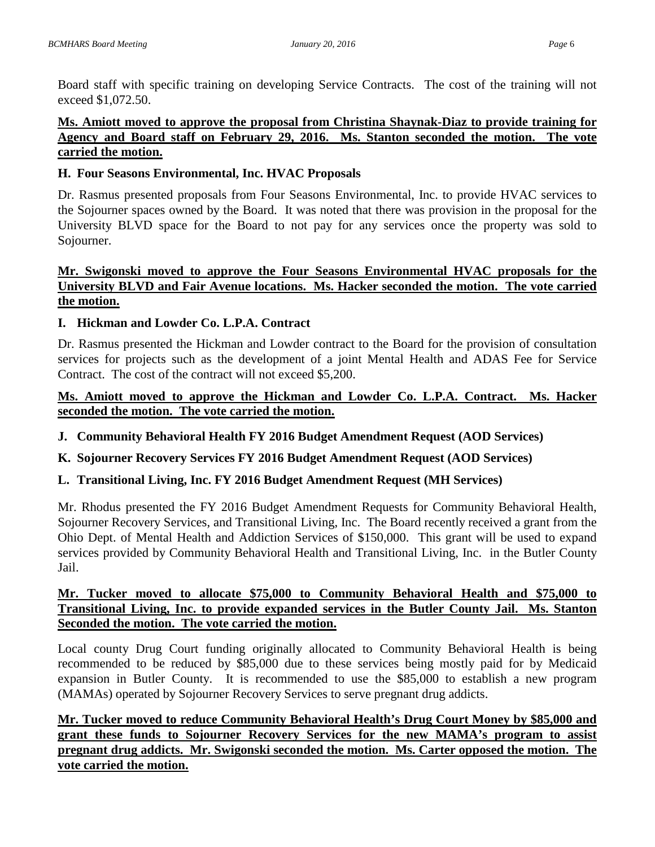Board staff with specific training on developing Service Contracts. The cost of the training will not exceed \$1,072.50.

## **Ms. Amiott moved to approve the proposal from Christina Shaynak-Diaz to provide training for Agency and Board staff on February 29, 2016. Ms. Stanton seconded the motion. The vote carried the motion.**

#### **H. Four Seasons Environmental, Inc. HVAC Proposals**

Dr. Rasmus presented proposals from Four Seasons Environmental, Inc. to provide HVAC services to the Sojourner spaces owned by the Board. It was noted that there was provision in the proposal for the University BLVD space for the Board to not pay for any services once the property was sold to Sojourner.

# **Mr. Swigonski moved to approve the Four Seasons Environmental HVAC proposals for the University BLVD and Fair Avenue locations. Ms. Hacker seconded the motion. The vote carried the motion.**

## **I. Hickman and Lowder Co. L.P.A. Contract**

Dr. Rasmus presented the Hickman and Lowder contract to the Board for the provision of consultation services for projects such as the development of a joint Mental Health and ADAS Fee for Service Contract. The cost of the contract will not exceed \$5,200.

# **Ms. Amiott moved to approve the Hickman and Lowder Co. L.P.A. Contract. Ms. Hacker seconded the motion. The vote carried the motion.**

**J. Community Behavioral Health FY 2016 Budget Amendment Request (AOD Services)**

## **K. Sojourner Recovery Services FY 2016 Budget Amendment Request (AOD Services)**

## **L. Transitional Living, Inc. FY 2016 Budget Amendment Request (MH Services)**

Mr. Rhodus presented the FY 2016 Budget Amendment Requests for Community Behavioral Health, Sojourner Recovery Services, and Transitional Living, Inc. The Board recently received a grant from the Ohio Dept. of Mental Health and Addiction Services of \$150,000. This grant will be used to expand services provided by Community Behavioral Health and Transitional Living, Inc. in the Butler County Jail.

## **Mr. Tucker moved to allocate \$75,000 to Community Behavioral Health and \$75,000 to Transitional Living, Inc. to provide expanded services in the Butler County Jail. Ms. Stanton Seconded the motion. The vote carried the motion.**

Local county Drug Court funding originally allocated to Community Behavioral Health is being recommended to be reduced by \$85,000 due to these services being mostly paid for by Medicaid expansion in Butler County. It is recommended to use the \$85,000 to establish a new program (MAMAs) operated by Sojourner Recovery Services to serve pregnant drug addicts.

# **Mr. Tucker moved to reduce Community Behavioral Health's Drug Court Money by \$85,000 and grant these funds to Sojourner Recovery Services for the new MAMA's program to assist pregnant drug addicts. Mr. Swigonski seconded the motion. Ms. Carter opposed the motion. The vote carried the motion.**